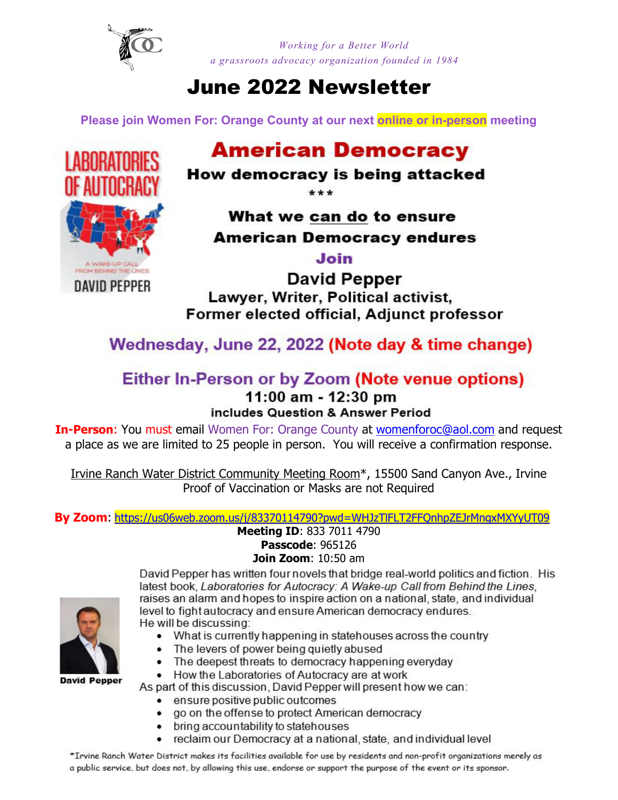

*Working for a Better World a grassroots advocacy organization founded in 1984* 

# June 2022 Newsletter

**Please join Women For: Orange County at our next online or in-person meeting**

# **American Democracy**

## How democracy is being attacked

 $***$ 

# What we can do to ensure American Democracy endures

Join

**David Pepper** Lawyer, Writer, Political activist, Former elected official, Adjunct professor

Wednesday, June 22, 2022 (Note day & time change)

#### Either In-Person or by Zoom (Note venue options) 11:00 am - 12:30 pm includes Question & Answer Period

**In-Person:** You must email Women For: Orange County at [womenforoc@aol.com](mailto:womenforoc@aol.com) and request a place as we are limited to 25 people in person. You will receive a confirmation response.

Irvine Ranch Water District Community Meeting Room\*, 15500 Sand Canyon Ave., Irvine Proof of Vaccination or Masks are not Required

**By Zoom**: <https://us06web.zoom.us/j/83370114790?pwd=WHJzTlFLT2FFQnhpZEJrMngxMXYyUT09> **Meeting ID**: 833 7011 4790

#### **Passcode**: 965126 **Join Zoom**: 10:50 am



David Pepper has written four novels that bridge real-world politics and fiction. His latest book, Laboratories for Autocracy: A Wake-up Call from Behind the Lines, raises an alarm and hopes to inspire action on a national, state, and individual level to fight autocracy and ensure American democracy endures. He will be discussing:

- What is currently happening in statehouses across the country
- The levers of power being quietly abused
- The deepest threats to democracy happening everyday
- How the Laboratories of Autocracy are at work

As part of this discussion, David Pepper will present how we can:

- ensure positive public outcomes
- go on the offense to protect American democracy
- bring accountability to statehouses
- reclaim our Democracy at a national, state, and individual level

\*Irvine Ranch Water District makes its facilities available for use by residents and non-profit organizations merely as a public service, but does not, by allowing this use, endorse or support the purpose of the event or its sponsor.

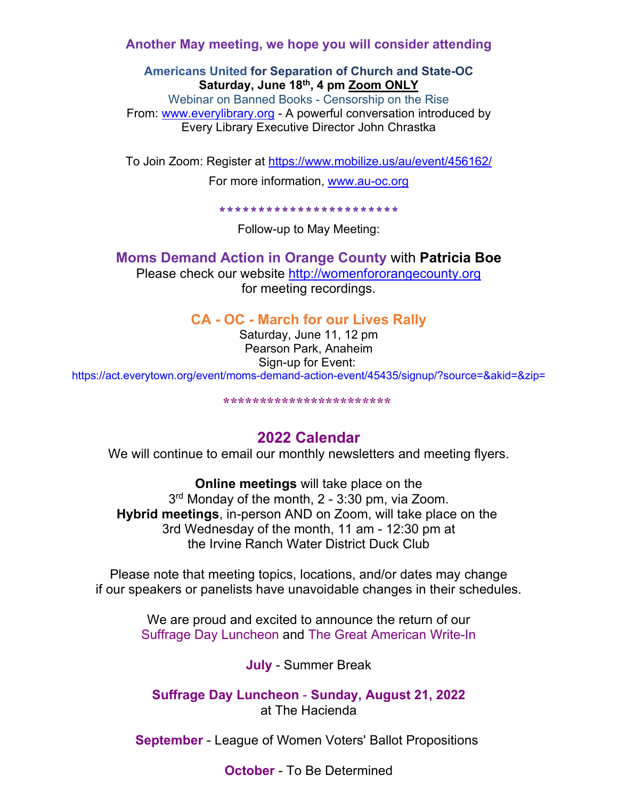**Another May meeting, we hope you will consider attending** 

#### **Americans United for Separation of Church and State-OC Saturday, June 18th, 4 pm Zoom ONLY**

Webinar on Banned Books - Censorship on the Rise From: [www.everylibrary.org](http://www.everylibrary.org/) - A powerful conversation introduced by Every Library Executive Director John Chrastka

To Join Zoom: Register at<https://www.mobilize.us/au/event/456162/>

For more information, [www.au-oc.org](http://www.au-oc.org/)

\*\*\*\*\*\*\*\*\*\*\*\*\*\*\*\*\*\*\*\*\*\*\*

Follow-up to May Meeting:

### **Moms Demand Action in Orange County** with **Patricia Boe**

Please check our website [http://womenfororangecounty.org](http://womenfororangecounty.org/) for meeting recordings.

**CA - OC - March for our Lives Rally**

Saturday, June 11, 12 pm Pearson Park, Anaheim Sign-up for Event: https://act.everytown.org/event/moms-demand-action-event/45435/signup/?source=&akid=&zip=

**\*\*\*\*\*\*\*\*\*\*\*\*\*\*\*\*\*\*\*\*\*\*\***

## **2022 Calendar**

We will continue to email our monthly newsletters and meeting flyers.

**Online meetings** will take place on the 3<sup>rd</sup> Monday of the month, 2 - 3:30 pm, via Zoom. **Hybrid meetings**, in-person AND on Zoom, will take place on the 3rd Wednesday of the month, 11 am - 12:30 pm at the Irvine Ranch Water District Duck Club

Please note that meeting topics, locations, and/or dates may change if our speakers or panelists have unavoidable changes in their schedules.

> We are proud and excited to announce the return of our Suffrage Day Luncheon and The Great American Write-In

> > **July** - Summer Break

**Suffrage Day Luncheon** - **Sunday, August 21, 2022** at The Hacienda

**September** - League of Women Voters' Ballot Propositions

**October** - To Be Determined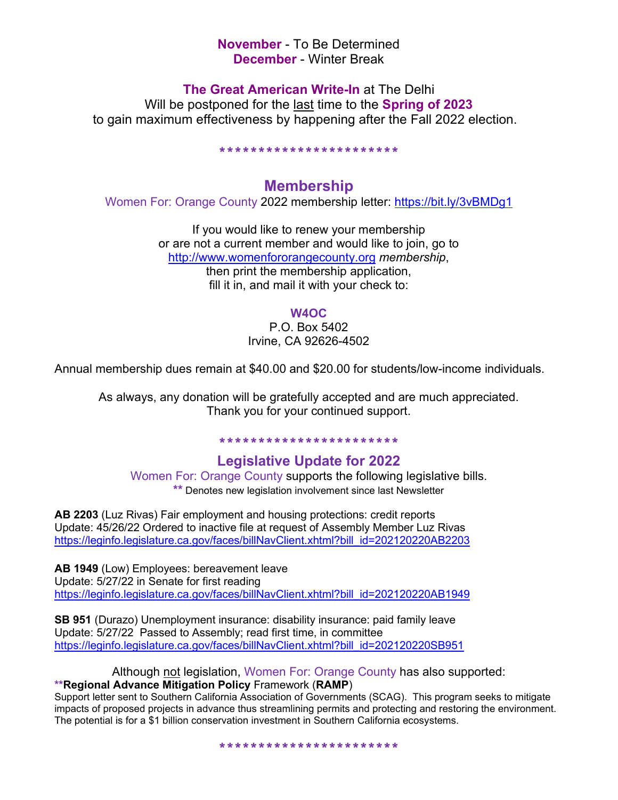**November** - To Be Determined **December** - Winter Break

**The Great American Write-In** at The Delhi

Will be postponed for the last time to the **Spring of 2023** to gain maximum effectiveness by happening after the Fall 2022 election.

\*\*\*\*\*\*\*\*\*\*\*\*\*\*\*\*\*\*\*\*\*\*\*

### **Membership**

Women For: Orange County 2022 membership letter:<https://bit.ly/3vBMDg1>

If you would like to renew your membership or are not a current member and would like to join, go to [http://www.womenfororangecounty.org](http://www.womenfororangecounty.org/) *membership*, then print the membership application, fill it in, and mail it with your check to:

#### **W4OC**

P.O. Box 5402 Irvine, CA 92626-4502

Annual membership dues remain at \$40.00 and \$20.00 for students/low-income individuals.

As always, any donation will be gratefully accepted and are much appreciated. Thank you for your continued support.

# \*\*\*\*\*\*\*\*\*\*\*\*\*\*\*\*\*\*\*\*\*\*\*

**Legislative Update for 2022** 

Women For: Orange County supports the following legislative bills. **\*\*** Denotes new legislation involvement since last Newsletter

**AB 2203** (Luz Rivas) Fair employment and housing protections: credit reports Update: 45/26/22 Ordered to inactive file at request of Assembly Member Luz Rivas [https://leginfo.legislature.ca.gov/faces/billNavClient.xhtml?bill\\_id=202120220AB2203](https://leginfo.legislature.ca.gov/faces/billNavClient.xhtml?bill_id=202120220AB2203)

**AB 1949** (Low) Employees: bereavement leave Update: 5/27/22 in Senate for first reading https://leginfo.legislature.ca.gov/faces/billNavClient.xhtml?bill\_id=202120220AB1949

**SB 951** (Durazo) Unemployment insurance: disability insurance: paid family leave Update: 5/27/22 Passed to Assembly; read first time, in committee [https://leginfo.legislature.ca.gov/faces/billNavClient.xhtml?bill\\_id=202120220SB951](https://leginfo.legislature.ca.gov/faces/billNavClient.xhtml?bill_id=202120220SB951)

#### Although not legislation, Women For: Orange County has also supported: **\*\*Regional Advance Mitigation Policy** Framework (**RAMP**)

Support letter sent to Southern California Association of Governments (SCAG). This program seeks to mitigate impacts of proposed projects in advance thus streamlining permits and protecting and restoring the environment. The potential is for a \$1 billion conservation investment in Southern California ecosystems.

\*\*\*\*\*\*\*\*\*\*\*\*\*\*\*\*\*\*\*\*\*\*\*